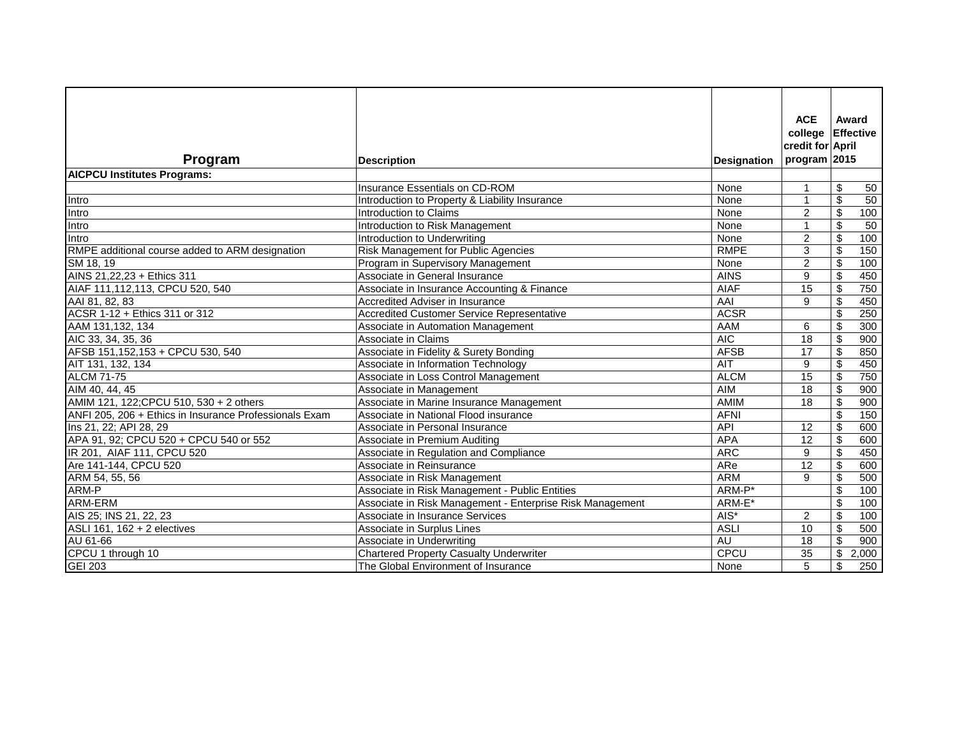| Program                                                | <b>Description</b>                                        | <b>Designation</b> | <b>ACE</b><br>college<br>credit for April<br>program $ 2015$ | Award<br>Effective               |
|--------------------------------------------------------|-----------------------------------------------------------|--------------------|--------------------------------------------------------------|----------------------------------|
| <b>AICPCU Institutes Programs:</b>                     |                                                           |                    |                                                              |                                  |
|                                                        | Insurance Essentials on CD-ROM                            | None               | 1                                                            | \$<br>50                         |
| <b>Intro</b>                                           | Introduction to Property & Liability Insurance            | None               | 1                                                            | \$<br>50                         |
| Intro                                                  | Introduction to Claims                                    | None               | $\overline{2}$                                               | \$<br>100                        |
| Intro                                                  | Introduction to Risk Management                           | None               | 1                                                            | \$<br>50                         |
| Intro                                                  | Introduction to Underwriting                              | None               | $\overline{2}$                                               | \$<br>100                        |
| RMPE additional course added to ARM designation        | Risk Management for Public Agencies                       | <b>RMPE</b>        | 3                                                            | 150<br>\$                        |
| SM 18, 19                                              | Program in Supervisory Management                         | None               | $\overline{2}$                                               | \$<br>100                        |
| AINS 21, 22, 23 + Ethics 311                           | Associate in General Insurance                            | <b>AINS</b>        | 9                                                            | \$<br>450                        |
| AIAF 111,112,113, CPCU 520, 540                        | Associate in Insurance Accounting & Finance               | <b>AIAF</b>        | 15                                                           | \$<br>750                        |
| AAI 81, 82, 83                                         | Accredited Adviser in Insurance                           | <b>AAI</b>         | 9                                                            | \$<br>450                        |
| ACSR 1-12 + Ethics 311 or 312                          | <b>Accredited Customer Service Representative</b>         | <b>ACSR</b>        |                                                              | \$<br>250                        |
| AAM 131,132, 134                                       | Associate in Automation Management                        | AAM                | 6                                                            | $\boldsymbol{\mathsf{S}}$<br>300 |
| AIC 33, 34, 35, 36                                     | Associate in Claims                                       | <b>AIC</b>         | 18                                                           | \$<br>900                        |
| AFSB 151,152,153 + CPCU 530, 540                       | Associate in Fidelity & Surety Bonding                    | <b>AFSB</b>        | 17                                                           | \$<br>850                        |
| AIT 131, 132, 134                                      | Associate in Information Technology                       | AIT                | 9                                                            | \$<br>450                        |
| <b>ALCM 71-75</b>                                      | Associate in Loss Control Management                      | <b>ALCM</b>        | 15                                                           | \$<br>750                        |
| AIM 40, 44, 45                                         | Associate in Management                                   | AIM                | 18                                                           | \$<br>900                        |
| AMIM 121, 122; CPCU 510, 530 + 2 others                | Associate in Marine Insurance Management                  | AMIM               | 18                                                           | \$<br>900                        |
| ANFI 205, 206 + Ethics in Insurance Professionals Exam | Associate in National Flood insurance                     | <b>AFNI</b>        |                                                              | \$<br>150                        |
| Ins 21, 22; API 28, 29                                 | Associate in Personal Insurance                           | <b>API</b>         | 12                                                           | \$<br>600                        |
| APA 91, 92; CPCU 520 + CPCU 540 or 552                 | Associate in Premium Auditing                             | <b>APA</b>         | 12                                                           | \$<br>600                        |
| IR 201, AIAF 111, CPCU 520                             | Associate in Regulation and Compliance                    | <b>ARC</b>         | 9                                                            | 450<br>\$                        |
| Are 141-144, CPCU 520                                  | Associate in Reinsurance                                  | ARe                | 12                                                           | \$<br>600                        |
| ARM 54, 55, 56                                         | Associate in Risk Management                              | <b>ARM</b>         | 9                                                            | 500<br>\$                        |
| ARM-P                                                  | Associate in Risk Management - Public Entities            | ARM-P*             |                                                              | \$<br>100                        |
| ARM-ERM                                                | Associate in Risk Management - Enterprise Risk Management | ARM-E*             |                                                              | \$<br>100                        |
| AIS 25; INS 21, 22, 23                                 | Associate in Insurance Services                           | $\overline{AIS^*}$ | $\overline{2}$                                               | $\overline{\$}$<br>100           |
| ASLI 161, 162 + 2 electives                            | Associate in Surplus Lines                                | <b>ASLI</b>        | 10                                                           | $\boldsymbol{\theta}$<br>500     |
| AU 61-66                                               | Associate in Underwriting                                 | <b>AU</b>          | 18                                                           | $\sqrt{3}$<br>900                |
| CPCU 1 through 10                                      | <b>Chartered Property Casualty Underwriter</b>            | CPCU               | 35                                                           | 2,000<br>\$                      |
| <b>GEI 203</b>                                         | The Global Environment of Insurance                       | None               | 5                                                            | \$<br>250                        |